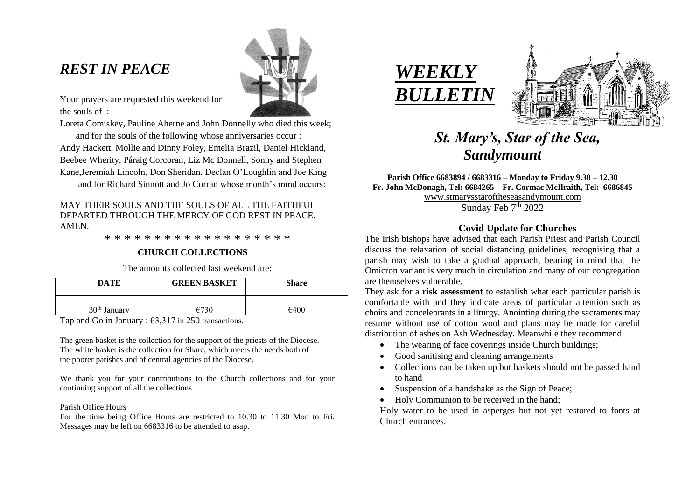# *REST IN PEACE*



Your prayers are requested this weekend for the souls of :

Loreta Comiskey, Pauline Aherne and John Donnelly who died this week; and for the souls of the following whose anniversaries occur : Andy Hackett, Mollie and Dinny Foley, Emelia Brazil, Daniel Hickland, Beebee Wherity, Páraig Corcoran, Liz Mc Donnell, Sonny and Stephen Kane,Jeremiah Lincoln, Don Sheridan, Declan O'Loughlin and Joe King

and for Richard Sinnott and Jo Curran whose month's mind occurs:

# MAY THEIR SOULS AND THE SOULS OF ALL THE FAITHFUL DEPARTED THROUGH THE MERCY OF GOD REST IN PEACE. AMEN.

\* \* \* \* \* \* \* \* \* \* \* \* \* \* \* \* \* \* \*

# **CHURCH COLLECTIONS**

The amounts collected last weekend are:

| <b>DATE</b>              | <b>GREEN BASKET</b> | <b>Share</b> |
|--------------------------|---------------------|--------------|
| 30 <sup>th</sup> January |                     | €400         |

Tap and Go in January :  $\epsilon$ 3.317 in 250 transactions.

The green basket is the collection for the support of the priests of the Diocese. The white basket is the collection for Share, which meets the needs both of the poorer parishes and of central agencies of the Diocese.

We thank you for your contributions to the Church collections and for your continuing support of all the collections.

### Parish Office Hours

For the time being Office Hours are restricted to 10.30 to 11.30 Mon to Fri. Messages may be left on 6683316 to be attended to asap.





# *St. Mary's, Star of the Sea, Sandymount*

**Parish Office 6683894 / 6683316 – Monday to Friday 9.30 – 12.30 Fr. John McDonagh, Tel: 6684265 – Fr. Cormac McIlraith, Tel: 6686845** [www.stmarysstaroftheseasandymount.com](http://www.stmarysstaroftheseasandymount.com/) Sunday Feb 7<sup>th</sup> 2022

# **Covid Update for Churches**

The Irish bishops have advised that each Parish Priest and Parish Council discuss the relaxation of social distancing guidelines, recognising that a parish may wish to take a gradual approach, bearing in mind that the Omicron variant is very much in circulation and many of our congregation are themselves vulnerable.

They ask for a **risk assessment** to establish what each particular parish is comfortable with and they indicate areas of particular attention such as choirs and concelebrants in a liturgy. Anointing during the sacraments may resume without use of cotton wool and plans may be made for careful distribution of ashes on Ash Wednesday. Meanwhile they recommend

- The wearing of face coverings inside Church buildings;
- Good sanitising and cleaning arrangements
- Collections can be taken up but baskets should not be passed hand to hand
- Suspension of a handshake as the Sign of Peace;
- Holy Communion to be received in the hand:

Holy water to be used in asperges but not yet restored to fonts at Church entrances.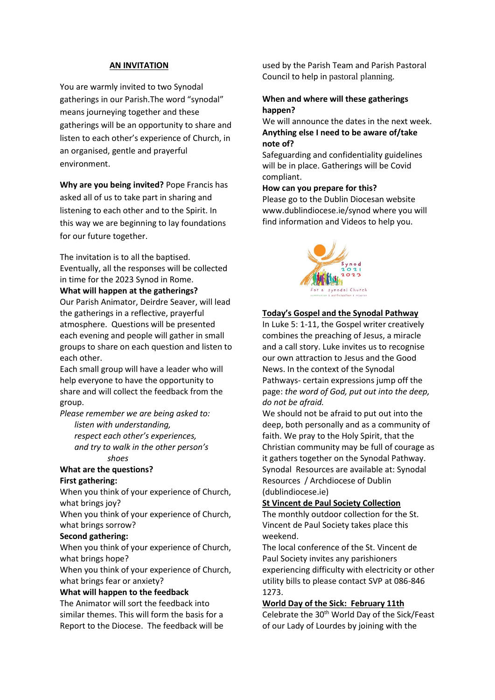#### **AN INVITATION**

You are warmly invited to two Synodal gatherings in our Parish.The word "synodal" means journeying together and these gatherings will be an opportunity to share and listen to each other's experience of Church, in an organised, gentle and prayerful environment.

**Why are you being invited?** Pope Francis has asked all of us to take part in sharing and listening to each other and to the Spirit. In this way we are beginning to lay foundations for our future together.

The invitation is to all the baptised. Eventually, all the responses will be collected in time for the 2023 Synod in Rome. **What will happen at the gatherings?**

Our Parish Animator, Deirdre Seaver, will lead the gatherings in a reflective, prayerful atmosphere. Questions will be presented each evening and people will gather in small groups to share on each question and listen to each other.

Each small group will have a leader who will help everyone to have the opportunity to share and will collect the feedback from the group.

*Please remember we are being asked to:*

 *listen with understanding, respect each other's experiences, and try to walk in the other person's shoes*

#### **What are the questions? First gathering:**

When you think of your experience of Church, what brings joy?

When you think of your experience of Church, what brings sorrow?

#### **Second gathering:**

When you think of your experience of Church, what brings hope?

When you think of your experience of Church, what brings fear or anxiety?

#### **What will happen to the feedback**

The Animator will sort the feedback into similar themes. This will form the basis for a Report to the Diocese. The feedback will be used by the Parish Team and Parish Pastoral Council to help in pastoral planning.

## **When and where will these gatherings happen?**

We will announce the dates in the next week. **Anything else I need to be aware of/take note of?**

Safeguarding and confidentiality guidelines will be in place. Gatherings will be Covid compliant.

### **How can you prepare for this?**

Please go to the Dublin Diocesan website www.dublindiocese.ie/synod where you will find information and Videos to help you.



#### **Today's Gospel and the Synodal Pathway**

In Luke 5: 1-11, the Gospel writer creatively combines the preaching of Jesus, a miracle and a call story. Luke invites us to recognise our own attraction to Jesus and the Good News. In the context of the Synodal Pathways- certain expressions jump off the page: *the word of God, put out into the deep, do not be afraid.*

We should not be afraid to put out into the deep, both personally and as a community of faith. We pray to the Holy Spirit, that the Christian community may be full of courage as it gathers together on the Synodal Pathway. Synodal Resources are available at: Synodal Resources / Archdiocese of Dublin (dublindiocese.ie)

#### **St Vincent de Paul Society Collection**

The monthly outdoor collection for the St. Vincent de Paul Society takes place this weekend.

The local conference of the St. Vincent de Paul Society invites any parishioners experiencing difficulty with electricity or other utility bills to please contact SVP at 086-846 1273.

### **World Day of the Sick: February 11th**

Celebrate the 30<sup>th</sup> World Day of the Sick/Feast of our Lady of Lourdes by joining with the